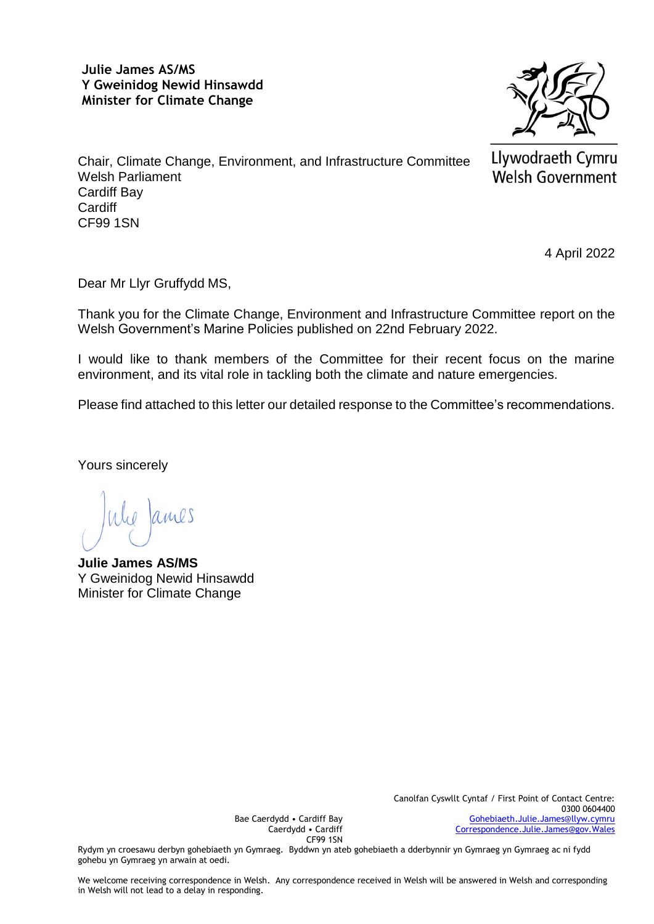## **Julie James AS/MS Y Gweinidog Newid Hinsawdd Minister for Climate Change**



Llywodraeth Cymru Welsh Government

Chair, Climate Change, Environment, and Infrastructure Committee Welsh Parliament Cardiff Bay **Cardiff** CF99 1SN

4 April 2022

Dear Mr Llyr Gruffydd MS,

Thank you for the Climate Change, Environment and Infrastructure Committee report on the Welsh Government's Marine Policies published on 22nd February 2022.

I would like to thank members of the Committee for their recent focus on the marine environment, and its vital role in tackling both the climate and nature emergencies.

Please find attached to this letter our detailed response to the Committee's recommendations.

Yours sincerely

**Julie James AS/MS** Y Gweinidog Newid Hinsawdd Minister for Climate Change

Bae Caerdydd • Cardiff Bay Caerdydd • Cardiff CF99 1SN

Rydym yn croesawu derbyn gohebiaeth yn Gymraeg. Byddwn yn ateb gohebiaeth a dderbynnir yn Gymraeg yn Gymraeg ac ni fydd gohebu yn Gymraeg yn arwain at oedi.

We welcome receiving correspondence in Welsh. Any correspondence received in Welsh will be answered in Welsh and corresponding in Welsh will not lead to a delay in responding.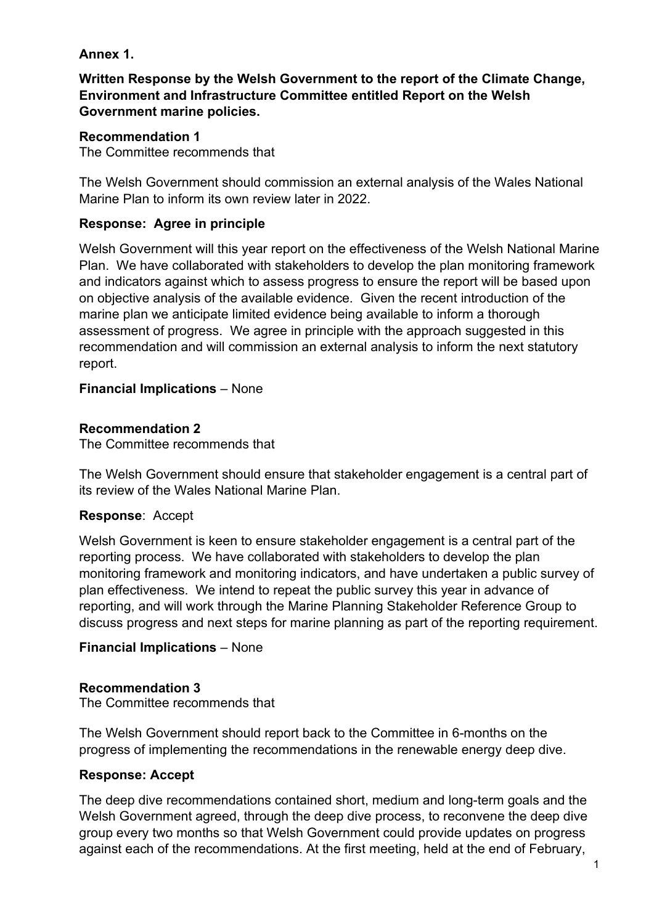# **Annex 1.**

**Written Response by the Welsh Government to the report of the Climate Change, Environment and Infrastructure Committee entitled Report on the Welsh Government marine policies.**

## **Recommendation 1**

The Committee recommends that

The Welsh Government should commission an external analysis of the Wales National Marine Plan to inform its own review later in 2022.

## **Response: Agree in principle**

Welsh Government will this year report on the effectiveness of the Welsh National Marine Plan. We have collaborated with stakeholders to develop the plan monitoring framework and indicators against which to assess progress to ensure the report will be based upon on objective analysis of the available evidence. Given the recent introduction of the marine plan we anticipate limited evidence being available to inform a thorough assessment of progress. We agree in principle with the approach suggested in this recommendation and will commission an external analysis to inform the next statutory report.

## **Financial Implications** – None

## **Recommendation 2**

The Committee recommends that

The Welsh Government should ensure that stakeholder engagement is a central part of its review of the Wales National Marine Plan.

### **Response**: Accept

Welsh Government is keen to ensure stakeholder engagement is a central part of the reporting process. We have collaborated with stakeholders to develop the plan monitoring framework and monitoring indicators, and have undertaken a public survey of plan effectiveness. We intend to repeat the public survey this year in advance of reporting, and will work through the Marine Planning Stakeholder Reference Group to discuss progress and next steps for marine planning as part of the reporting requirement.

### **Financial Implications** – None

### **Recommendation 3**

The Committee recommends that

The Welsh Government should report back to the Committee in 6-months on the progress of implementing the recommendations in the renewable energy deep dive.

### **Response: Accept**

The deep dive recommendations contained short, medium and long-term goals and the Welsh Government agreed, through the deep dive process, to reconvene the deep dive group every two months so that Welsh Government could provide updates on progress against each of the recommendations. At the first meeting, held at the end of February,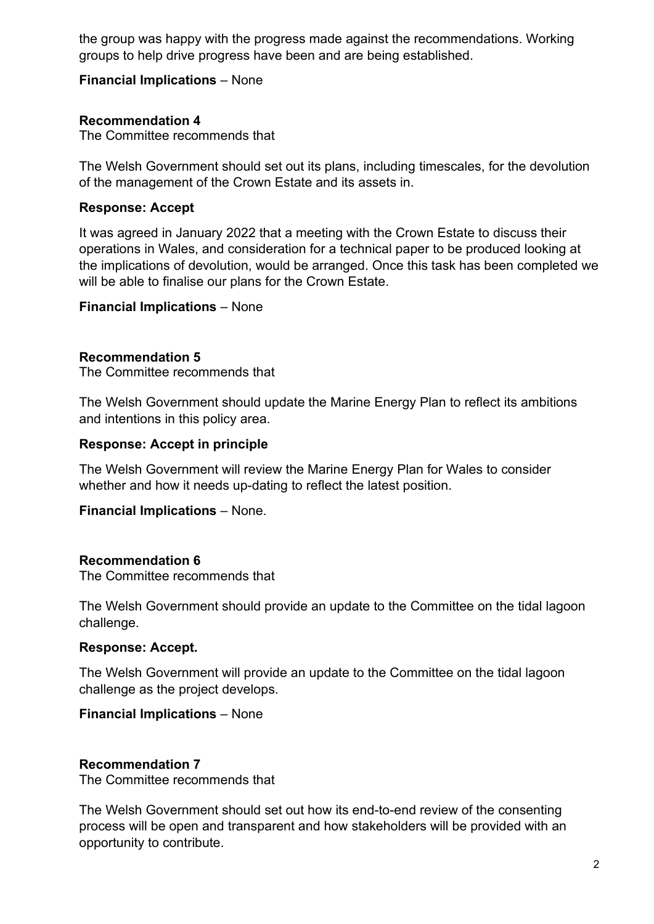the group was happy with the progress made against the recommendations. Working groups to help drive progress have been and are being established.

## **Financial Implications** – None

## **Recommendation 4**

The Committee recommends that

The Welsh Government should set out its plans, including timescales, for the devolution of the management of the Crown Estate and its assets in.

## **Response: Accept**

It was agreed in January 2022 that a meeting with the Crown Estate to discuss their operations in Wales, and consideration for a technical paper to be produced looking at the implications of devolution, would be arranged. Once this task has been completed we will be able to finalise our plans for the Crown Estate.

### **Financial Implications** – None

### **Recommendation 5**

The Committee recommends that

The Welsh Government should update the Marine Energy Plan to reflect its ambitions and intentions in this policy area.

## **Response: Accept in principle**

The Welsh Government will review the Marine Energy Plan for Wales to consider whether and how it needs up-dating to reflect the latest position.

### **Financial Implications** – None.

### **Recommendation 6**

The Committee recommends that

The Welsh Government should provide an update to the Committee on the tidal lagoon challenge.

### **Response: Accept.**

The Welsh Government will provide an update to the Committee on the tidal lagoon challenge as the project develops.

### **Financial Implications** – None

### **Recommendation 7**

The Committee recommends that

The Welsh Government should set out how its end-to-end review of the consenting process will be open and transparent and how stakeholders will be provided with an opportunity to contribute.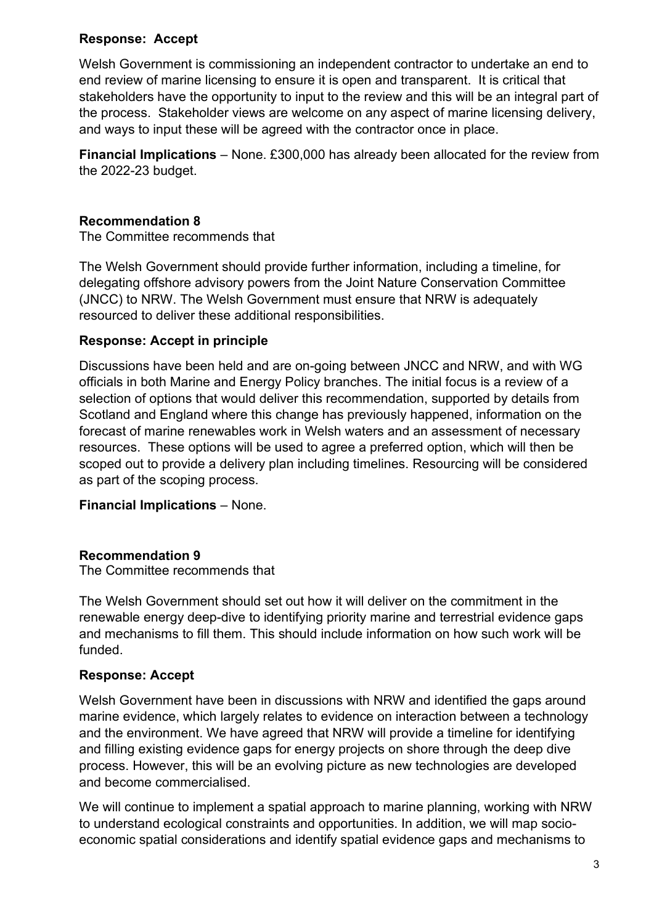# **Response: Accept**

Welsh Government is commissioning an independent contractor to undertake an end to end review of marine licensing to ensure it is open and transparent. It is critical that stakeholders have the opportunity to input to the review and this will be an integral part of the process. Stakeholder views are welcome on any aspect of marine licensing delivery, and ways to input these will be agreed with the contractor once in place.

**Financial Implications** – None. £300,000 has already been allocated for the review from the 2022-23 budget.

# **Recommendation 8**

The Committee recommends that

The Welsh Government should provide further information, including a timeline, for delegating offshore advisory powers from the Joint Nature Conservation Committee (JNCC) to NRW. The Welsh Government must ensure that NRW is adequately resourced to deliver these additional responsibilities.

# **Response: Accept in principle**

Discussions have been held and are on-going between JNCC and NRW, and with WG officials in both Marine and Energy Policy branches. The initial focus is a review of a selection of options that would deliver this recommendation, supported by details from Scotland and England where this change has previously happened, information on the forecast of marine renewables work in Welsh waters and an assessment of necessary resources. These options will be used to agree a preferred option, which will then be scoped out to provide a delivery plan including timelines. Resourcing will be considered as part of the scoping process.

**Financial Implications** – None.

# **Recommendation 9**

The Committee recommends that

The Welsh Government should set out how it will deliver on the commitment in the renewable energy deep-dive to identifying priority marine and terrestrial evidence gaps and mechanisms to fill them. This should include information on how such work will be funded.

# **Response: Accept**

Welsh Government have been in discussions with NRW and identified the gaps around marine evidence, which largely relates to evidence on interaction between a technology and the environment. We have agreed that NRW will provide a timeline for identifying and filling existing evidence gaps for energy projects on shore through the deep dive process. However, this will be an evolving picture as new technologies are developed and become commercialised.

We will continue to implement a spatial approach to marine planning, working with NRW to understand ecological constraints and opportunities. In addition, we will map socioeconomic spatial considerations and identify spatial evidence gaps and mechanisms to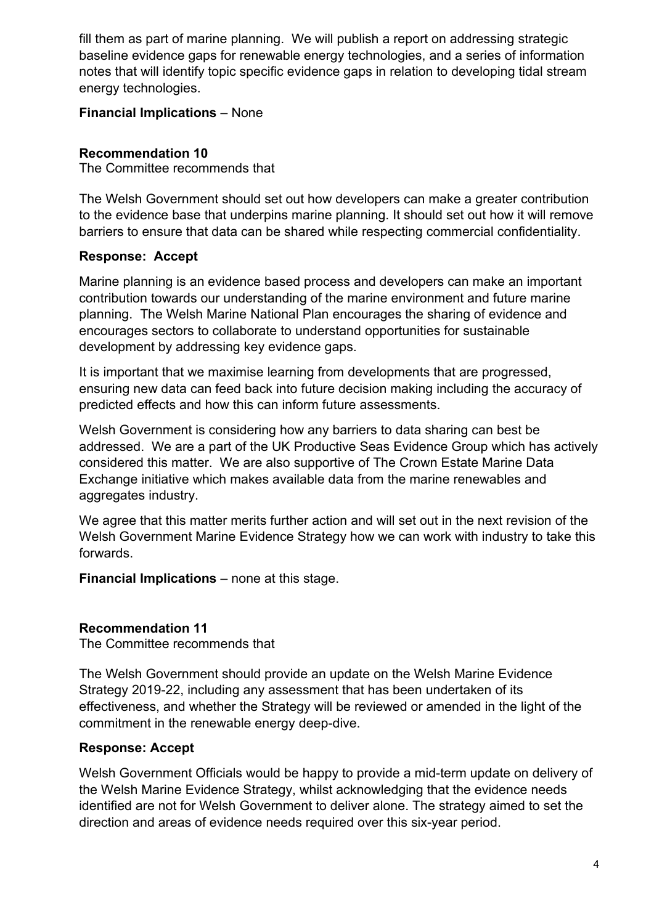fill them as part of marine planning. We will publish a report on addressing strategic baseline evidence gaps for renewable energy technologies, and a series of information notes that will identify topic specific evidence gaps in relation to developing tidal stream energy technologies.

# **Financial Implications** – None

# **Recommendation 10**

The Committee recommends that

The Welsh Government should set out how developers can make a greater contribution to the evidence base that underpins marine planning. It should set out how it will remove barriers to ensure that data can be shared while respecting commercial confidentiality.

# **Response: Accept**

Marine planning is an evidence based process and developers can make an important contribution towards our understanding of the marine environment and future marine planning. The Welsh Marine National Plan encourages the sharing of evidence and encourages sectors to collaborate to understand opportunities for sustainable development by addressing key evidence gaps.

It is important that we maximise learning from developments that are progressed, ensuring new data can feed back into future decision making including the accuracy of predicted effects and how this can inform future assessments.

Welsh Government is considering how any barriers to data sharing can best be addressed. We are a part of the UK Productive Seas Evidence Group which has actively considered this matter. We are also supportive of The Crown Estate Marine Data Exchange initiative which makes available data from the marine renewables and aggregates industry.

We agree that this matter merits further action and will set out in the next revision of the Welsh Government Marine Evidence Strategy how we can work with industry to take this forwards.

**Financial Implications** – none at this stage.

# **Recommendation 11**

The Committee recommends that

The Welsh Government should provide an update on the Welsh Marine Evidence Strategy 2019-22, including any assessment that has been undertaken of its effectiveness, and whether the Strategy will be reviewed or amended in the light of the commitment in the renewable energy deep-dive.

# **Response: Accept**

Welsh Government Officials would be happy to provide a mid-term update on delivery of the Welsh Marine Evidence Strategy, whilst acknowledging that the evidence needs identified are not for Welsh Government to deliver alone. The strategy aimed to set the direction and areas of evidence needs required over this six-year period.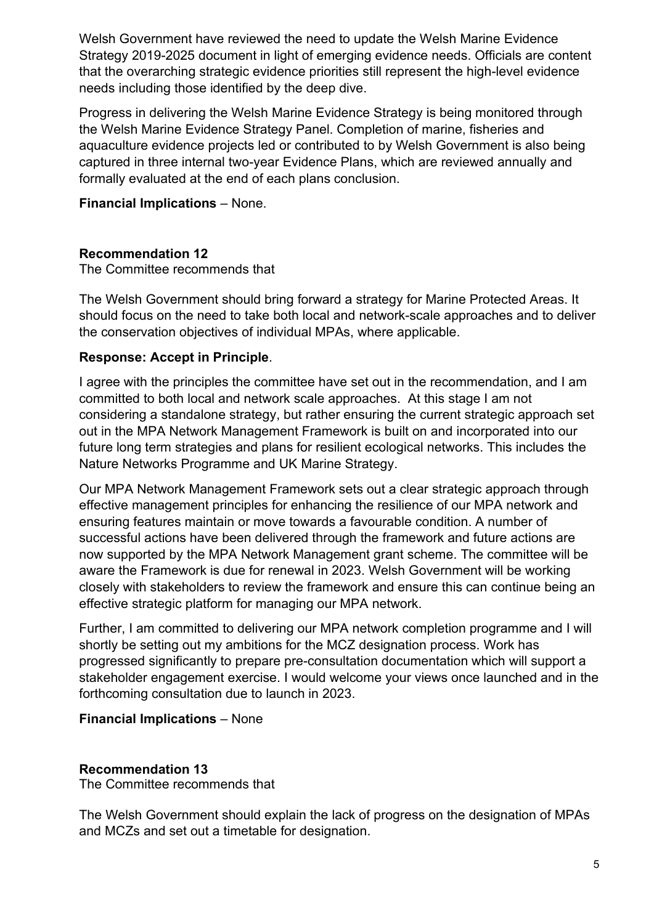Welsh Government have reviewed the need to update the Welsh Marine Evidence Strategy 2019-2025 document in light of emerging evidence needs. Officials are content that the overarching strategic evidence priorities still represent the high-level evidence needs including those identified by the deep dive.

Progress in delivering the Welsh Marine Evidence Strategy is being monitored through the Welsh Marine Evidence Strategy Panel. Completion of marine, fisheries and aquaculture evidence projects led or contributed to by Welsh Government is also being captured in three internal two-year Evidence Plans, which are reviewed annually and formally evaluated at the end of each plans conclusion.

## **Financial Implications** – None.

## **Recommendation 12**

The Committee recommends that

The Welsh Government should bring forward a strategy for Marine Protected Areas. It should focus on the need to take both local and network-scale approaches and to deliver the conservation objectives of individual MPAs, where applicable.

## **Response: Accept in Principle**.

I agree with the principles the committee have set out in the recommendation, and I am committed to both local and network scale approaches. At this stage I am not considering a standalone strategy, but rather ensuring the current strategic approach set out in the MPA Network Management Framework is built on and incorporated into our future long term strategies and plans for resilient ecological networks. This includes the Nature Networks Programme and UK Marine Strategy.

Our MPA Network Management Framework sets out a clear strategic approach through effective management principles for enhancing the resilience of our MPA network and ensuring features maintain or move towards a favourable condition. A number of successful actions have been delivered through the framework and future actions are now supported by the MPA Network Management grant scheme. The committee will be aware the Framework is due for renewal in 2023. Welsh Government will be working closely with stakeholders to review the framework and ensure this can continue being an effective strategic platform for managing our MPA network.

Further, I am committed to delivering our MPA network completion programme and I will shortly be setting out my ambitions for the MCZ designation process. Work has progressed significantly to prepare pre-consultation documentation which will support a stakeholder engagement exercise. I would welcome your views once launched and in the forthcoming consultation due to launch in 2023.

### **Financial Implications** – None

### **Recommendation 13**

The Committee recommends that

The Welsh Government should explain the lack of progress on the designation of MPAs and MCZs and set out a timetable for designation.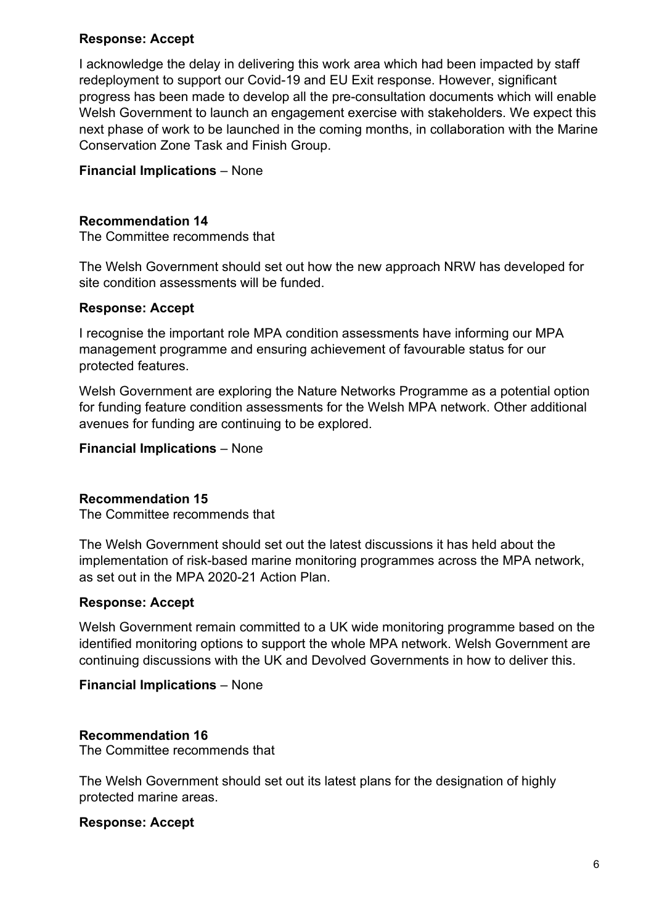## **Response: Accept**

I acknowledge the delay in delivering this work area which had been impacted by staff redeployment to support our Covid-19 and EU Exit response. However, significant progress has been made to develop all the pre-consultation documents which will enable Welsh Government to launch an engagement exercise with stakeholders. We expect this next phase of work to be launched in the coming months, in collaboration with the Marine Conservation Zone Task and Finish Group.

## **Financial Implications** – None

## **Recommendation 14**

The Committee recommends that

The Welsh Government should set out how the new approach NRW has developed for site condition assessments will be funded.

### **Response: Accept**

I recognise the important role MPA condition assessments have informing our MPA management programme and ensuring achievement of favourable status for our protected features.

Welsh Government are exploring the Nature Networks Programme as a potential option for funding feature condition assessments for the Welsh MPA network. Other additional avenues for funding are continuing to be explored.

#### **Financial Implications** – None

### **Recommendation 15**

The Committee recommends that

The Welsh Government should set out the latest discussions it has held about the implementation of risk-based marine monitoring programmes across the MPA network, as set out in the MPA 2020-21 Action Plan.

### **Response: Accept**

Welsh Government remain committed to a UK wide monitoring programme based on the identified monitoring options to support the whole MPA network. Welsh Government are continuing discussions with the UK and Devolved Governments in how to deliver this.

### **Financial Implications** – None

### **Recommendation 16**

The Committee recommends that

The Welsh Government should set out its latest plans for the designation of highly protected marine areas.

### **Response: Accept**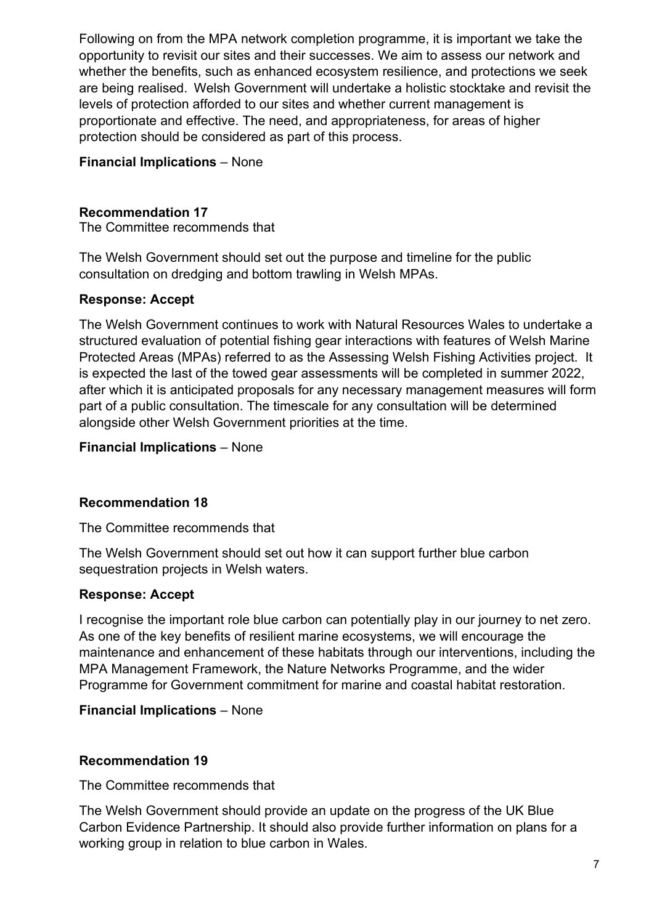Following on from the MPA network completion programme, it is important we take the opportunity to revisit our sites and their successes. We aim to assess our network and whether the benefits, such as enhanced ecosystem resilience, and protections we seek are being realised. Welsh Government will undertake a holistic stocktake and revisit the levels of protection afforded to our sites and whether current management is proportionate and effective. The need, and appropriateness, for areas of higher protection should be considered as part of this process.

# **Financial Implications** – None

## **Recommendation 17**

The Committee recommends that

The Welsh Government should set out the purpose and timeline for the public consultation on dredging and bottom trawling in Welsh MPAs.

## **Response: Accept**

The Welsh Government continues to work with Natural Resources Wales to undertake a structured evaluation of potential fishing gear interactions with features of Welsh Marine Protected Areas (MPAs) referred to as the Assessing Welsh Fishing Activities project. It is expected the last of the towed gear assessments will be completed in summer 2022, after which it is anticipated proposals for any necessary management measures will form part of a public consultation. The timescale for any consultation will be determined alongside other Welsh Government priorities at the time.

## **Financial Implications** – None

# **Recommendation 18**

The Committee recommends that

The Welsh Government should set out how it can support further blue carbon sequestration projects in Welsh waters.

# **Response: Accept**

I recognise the important role blue carbon can potentially play in our journey to net zero. As one of the key benefits of resilient marine ecosystems, we will encourage the maintenance and enhancement of these habitats through our interventions, including the MPA Management Framework, the Nature Networks Programme, and the wider Programme for Government commitment for marine and coastal habitat restoration.

# **Financial Implications** – None

# **Recommendation 19**

The Committee recommends that

The Welsh Government should provide an update on the progress of the UK Blue Carbon Evidence Partnership. It should also provide further information on plans for a working group in relation to blue carbon in Wales.